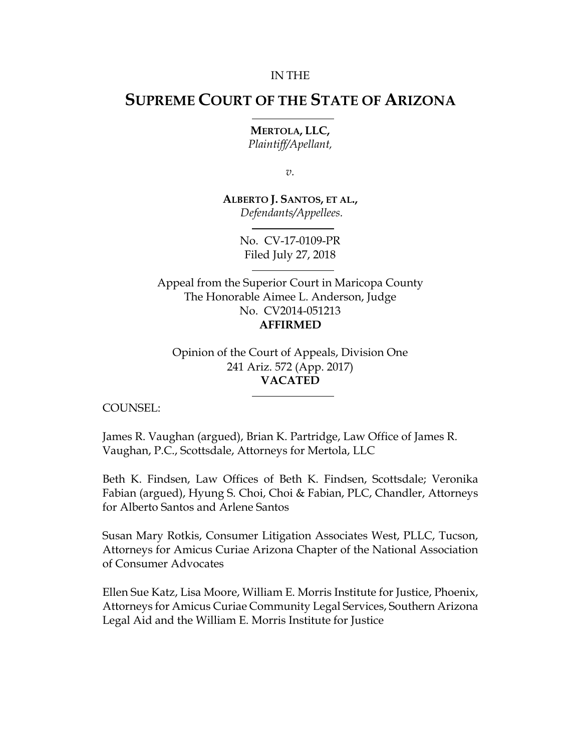#### IN THE

# **SUPREME COURT OF THE STATE OF ARIZONA**

**MERTOLA, LLC,** *Plaintiff/Apellant,*

*v.*

**ALBERTO J. SANTOS, ET AL.,** *Defendants/Appellees.*

> No. CV-17-0109-PR Filed July 27, 2018

Appeal from the Superior Court in Maricopa County The Honorable Aimee L. Anderson, Judge No. CV2014-051213 **AFFIRMED**

Opinion of the Court of Appeals, Division One 241 Ariz. 572 (App. 2017) **VACATED**

COUNSEL:

James R. Vaughan (argued), Brian K. Partridge, Law Office of James R. Vaughan, P.C., Scottsdale, Attorneys for Mertola, LLC

Beth K. Findsen, Law Offices of Beth K. Findsen, Scottsdale; Veronika Fabian (argued), Hyung S. Choi, Choi & Fabian, PLC, Chandler, Attorneys for Alberto Santos and Arlene Santos

Susan Mary Rotkis, Consumer Litigation Associates West, PLLC, Tucson, Attorneys for Amicus Curiae Arizona Chapter of the National Association of Consumer Advocates

Ellen Sue Katz, Lisa Moore, William E. Morris Institute for Justice, Phoenix, Attorneys for Amicus Curiae Community Legal Services, Southern Arizona Legal Aid and the William E. Morris Institute for Justice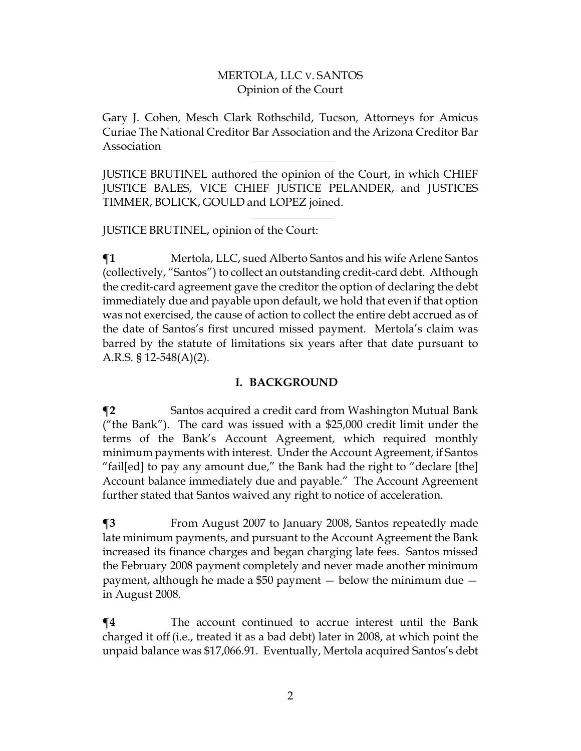Gary J. Cohen, Mesch Clark Rothschild, Tucson, Attorneys for Amicus Curiae The National Creditor Bar Association and the Arizona Creditor Bar Association

JUSTICE BRUTINEL authored the opinion of the Court, in which CHIEF JUSTICE BALES, VICE CHIEF JUSTICE PELANDER, and JUSTICES TIMMER, BOLICK, GOULD and LOPEZ joined.

JUSTICE BRUTINEL, opinion of the Court:

**¶1** Mertola, LLC, sued Alberto Santos and his wife Arlene Santos (collectively, "Santos") to collect an outstanding credit-card debt. Although the credit-card agreement gave the creditor the option of declaring the debt immediately due and payable upon default, we hold that even if that option was not exercised, the cause of action to collect the entire debt accrued as of the date of Santos's first uncured missed payment. Mertola's claim was barred by the statute of limitations six years after that date pursuant to A.R.S. § 12-548(A)(2).

### **I. BACKGROUND**

**¶2** Santos acquired a credit card from Washington Mutual Bank ("the Bank"). The card was issued with a \$25,000 credit limit under the terms of the Bank's Account Agreement, which required monthly minimum payments with interest. Under the Account Agreement, if Santos "fail[ed] to pay any amount due," the Bank had the right to "declare [the] Account balance immediately due and payable." The Account Agreement further stated that Santos waived any right to notice of acceleration.

**¶3** From August 2007 to January 2008, Santos repeatedly made late minimum payments, and pursuant to the Account Agreement the Bank increased its finance charges and began charging late fees. Santos missed the February 2008 payment completely and never made another minimum payment, although he made a \$50 payment — below the minimum due in August 2008.

**¶4** The account continued to accrue interest until the Bank charged it off (i.e., treated it as a bad debt) later in 2008, at which point the unpaid balance was \$17,066.91. Eventually, Mertola acquired Santos's debt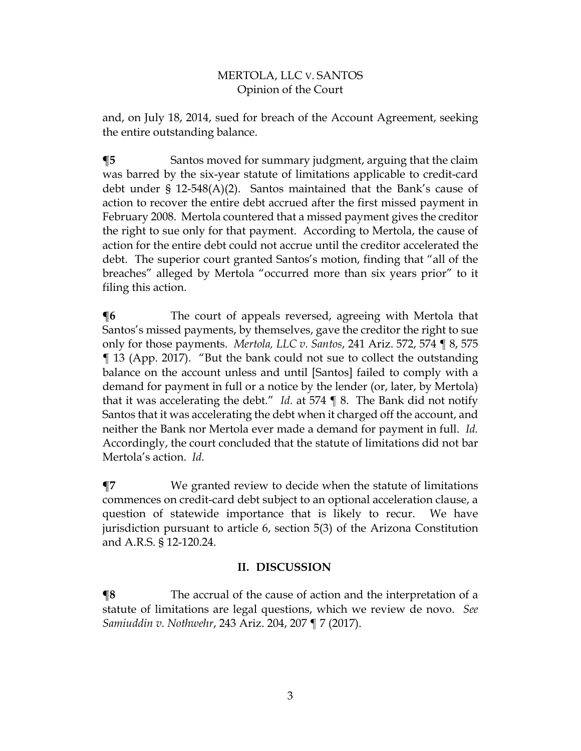and, on July 18, 2014, sued for breach of the Account Agreement, seeking the entire outstanding balance.

**¶5** Santos moved for summary judgment, arguing that the claim was barred by the six-year statute of limitations applicable to credit-card debt under  $\S$  12-548(A)(2). Santos maintained that the Bank's cause of action to recover the entire debt accrued after the first missed payment in February 2008. Mertola countered that a missed payment gives the creditor the right to sue only for that payment. According to Mertola, the cause of action for the entire debt could not accrue until the creditor accelerated the debt. The superior court granted Santos's motion, finding that "all of the breaches" alleged by Mertola "occurred more than six years prior" to it filing this action.

**The court of appeals reversed, agreeing with Mertola that** Santos's missed payments, by themselves, gave the creditor the right to sue only for those payments. *Mertola, LLC v. Santos*, 241 Ariz. 572, 574 ¶ 8, 575 ¶ 13 (App. 2017). "But the bank could not sue to collect the outstanding balance on the account unless and until [Santos] failed to comply with a demand for payment in full or a notice by the lender (or, later, by Mertola) that it was accelerating the debt." *Id.* at 574 ¶ 8. The Bank did not notify Santos that it was accelerating the debt when it charged off the account, and neither the Bank nor Mertola ever made a demand for payment in full. *Id.* Accordingly, the court concluded that the statute of limitations did not bar Mertola's action. *Id.*

**¶7** We granted review to decide when the statute of limitations commences on credit-card debt subject to an optional acceleration clause, a question of statewide importance that is likely to recur. We have jurisdiction pursuant to article 6, section 5(3) of the Arizona Constitution and A.R.S. § 12-120.24.

## **II. DISCUSSION**

**¶8** The accrual of the cause of action and the interpretation of a statute of limitations are legal questions, which we review de novo. *See Samiuddin v. Nothwehr*, 243 Ariz. 204, 207 ¶ 7 (2017).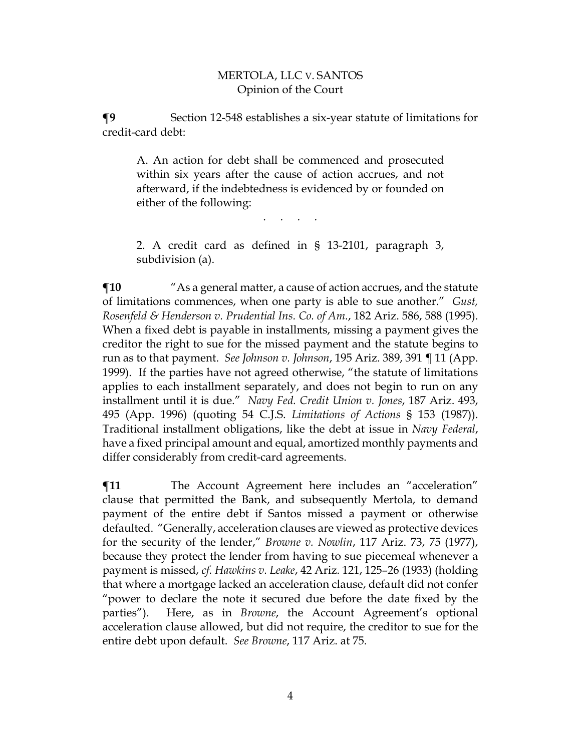**¶9** Section 12-548 establishes a six-year statute of limitations for credit-card debt:

A. An action for debt shall be commenced and prosecuted within six years after the cause of action accrues, and not afterward, if the indebtedness is evidenced by or founded on either of the following:

2. A credit card as defined in § 13-2101, paragraph 3, subdivision (a).

. . . . . .

 $\P$ **10** "As a general matter, a cause of action accrues, and the statute of limitations commences, when one party is able to sue another." *Gust, Rosenfeld & Henderson v. Prudential Ins. Co. of Am.*, 182 Ariz. 586, 588 (1995). When a fixed debt is payable in installments, missing a payment gives the creditor the right to sue for the missed payment and the statute begins to run as to that payment. *See Johnson v. Johnson*, 195 Ariz. 389, 391 ¶ 11 (App. 1999). If the parties have not agreed otherwise, "the statute of limitations applies to each installment separately, and does not begin to run on any installment until it is due." *Navy Fed. Credit Union v. Jones*, 187 Ariz. 493, 495 (App. 1996) (quoting 54 C.J.S. *Limitations of Actions* § 153 (1987)). Traditional installment obligations, like the debt at issue in *Navy Federal*, have a fixed principal amount and equal, amortized monthly payments and differ considerably from credit-card agreements.

**¶11** The Account Agreement here includes an "acceleration" clause that permitted the Bank, and subsequently Mertola, to demand payment of the entire debt if Santos missed a payment or otherwise defaulted. "Generally, acceleration clauses are viewed as protective devices for the security of the lender," *Browne v. Nowlin*, 117 Ariz. 73, 75 (1977), because they protect the lender from having to sue piecemeal whenever a payment is missed, *cf. Hawkins v. Leake*, 42 Ariz. 121, 125–26 (1933) (holding that where a mortgage lacked an acceleration clause, default did not confer "power to declare the note it secured due before the date fixed by the parties"). Here, as in *Browne*, the Account Agreement's optional acceleration clause allowed, but did not require, the creditor to sue for the entire debt upon default. *See Browne*, 117 Ariz. at 75*.*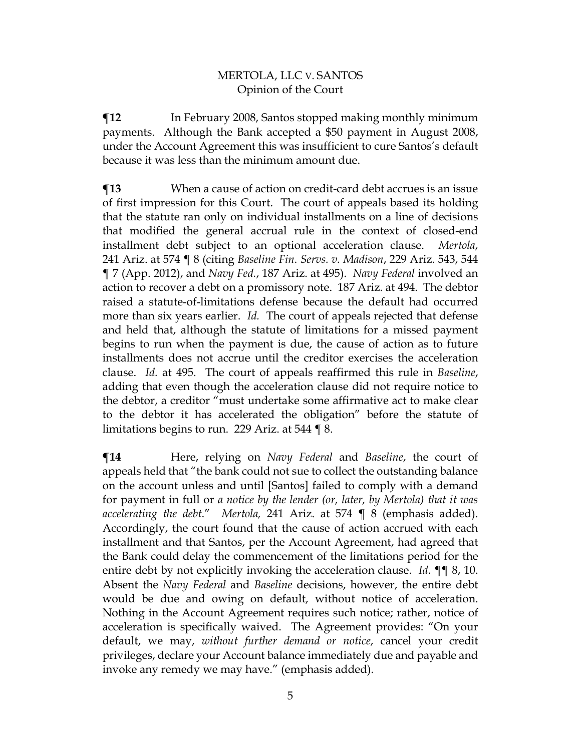**Therm** In February 2008, Santos stopped making monthly minimum payments. Although the Bank accepted a \$50 payment in August 2008, under the Account Agreement this was insufficient to cure Santos's default because it was less than the minimum amount due.

**¶13** When a cause of action on credit-card debt accrues is an issue of first impression for this Court. The court of appeals based its holding that the statute ran only on individual installments on a line of decisions that modified the general accrual rule in the context of closed-end installment debt subject to an optional acceleration clause. *Mertola*, 241 Ariz. at 574 ¶ 8 (citing *Baseline Fin. Servs. v. Madison*, 229 Ariz. 543, 544 ¶ 7 (App. 2012), and *Navy Fed.*, 187 Ariz. at 495). *Navy Federal* involved an action to recover a debt on a promissory note. 187 Ariz. at 494. The debtor raised a statute-of-limitations defense because the default had occurred more than six years earlier. *Id.* The court of appeals rejected that defense and held that, although the statute of limitations for a missed payment begins to run when the payment is due, the cause of action as to future installments does not accrue until the creditor exercises the acceleration clause. *Id.* at 495. The court of appeals reaffirmed this rule in *Baseline*, adding that even though the acceleration clause did not require notice to the debtor, a creditor "must undertake some affirmative act to make clear to the debtor it has accelerated the obligation" before the statute of limitations begins to run. 229 Ariz. at 544 ¶ 8.

**¶14** Here, relying on *Navy Federal* and *Baseline*, the court of appeals held that "the bank could not sue to collect the outstanding balance on the account unless and until [Santos] failed to comply with a demand for payment in full or *a notice by the lender (or, later, by Mertola) that it was accelerating the debt*." *Mertola,* 241 Ariz. at 574 ¶ 8 (emphasis added). Accordingly, the court found that the cause of action accrued with each installment and that Santos, per the Account Agreement, had agreed that the Bank could delay the commencement of the limitations period for the entire debt by not explicitly invoking the acceleration clause. *Id.* ¶¶ 8, 10. Absent the *Navy Federal* and *Baseline* decisions, however, the entire debt would be due and owing on default, without notice of acceleration. Nothing in the Account Agreement requires such notice; rather, notice of acceleration is specifically waived. The Agreement provides: "On your default, we may, *without further demand or notice*, cancel your credit privileges, declare your Account balance immediately due and payable and invoke any remedy we may have." (emphasis added).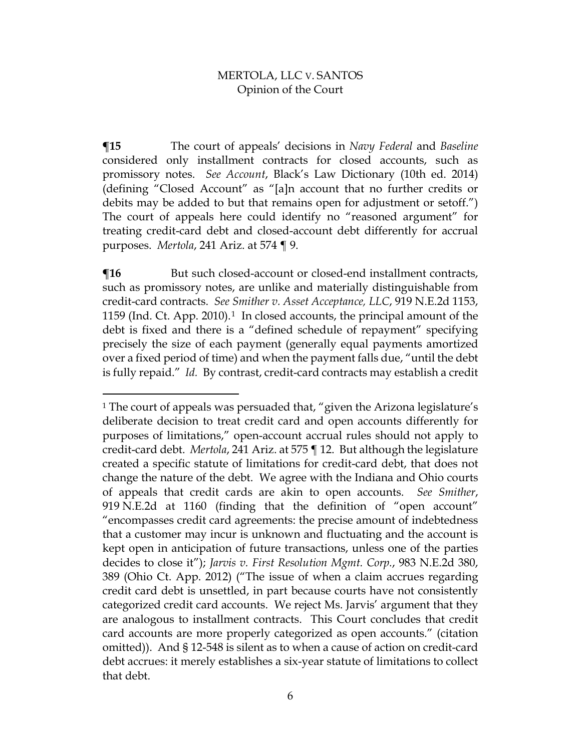**¶15** The court of appeals' decisions in *Navy Federal* and *Baseline* considered only installment contracts for closed accounts, such as promissory notes. *See Account*, Black's Law Dictionary (10th ed. 2014) (defining "Closed Account" as "[a]n account that no further credits or debits may be added to but that remains open for adjustment or setoff.") The court of appeals here could identify no "reasoned argument" for treating credit-card debt and closed-account debt differently for accrual purposes. *Mertola*, 241 Ariz. at 574 ¶ 9.

**The** But such closed-account or closed-end installment contracts, such as promissory notes, are unlike and materially distinguishable from credit-card contracts. *See Smither v. Asset Acceptance, LLC*, 919 N.E.2d 1153, 1159 (Ind. Ct. App. 2010).[1](#page-5-0) In closed accounts, the principal amount of the debt is fixed and there is a "defined schedule of repayment" specifying precisely the size of each payment (generally equal payments amortized over a fixed period of time) and when the payment falls due, "until the debt is fully repaid." *Id.* By contrast, credit-card contracts may establish a credit

 $\overline{a}$ 

<span id="page-5-0"></span><sup>&</sup>lt;sup>1</sup> The court of appeals was persuaded that, "given the Arizona legislature's deliberate decision to treat credit card and open accounts differently for purposes of limitations," open-account accrual rules should not apply to credit-card debt. *Mertola*, 241 Ariz. at 575 ¶ 12. But although the legislature created a specific statute of limitations for credit-card debt, that does not change the nature of the debt. We agree with the Indiana and Ohio courts of appeals that credit cards are akin to open accounts. *See Smither*, 919 N.E.2d at 1160 (finding that the definition of "open account" "encompasses credit card agreements: the precise amount of indebtedness that a customer may incur is unknown and fluctuating and the account is kept open in anticipation of future transactions, unless one of the parties decides to close it"); *Jarvis v. First Resolution Mgmt. Corp.*, 983 N.E.2d 380, 389 (Ohio Ct. App. 2012) ("The issue of when a claim accrues regarding credit card debt is unsettled, in part because courts have not consistently categorized credit card accounts. We reject Ms. Jarvis' argument that they are analogous to installment contracts. This Court concludes that credit card accounts are more properly categorized as open accounts." (citation omitted)). And § 12-548 is silent as to when a cause of action on credit-card debt accrues: it merely establishes a six-year statute of limitations to collect that debt.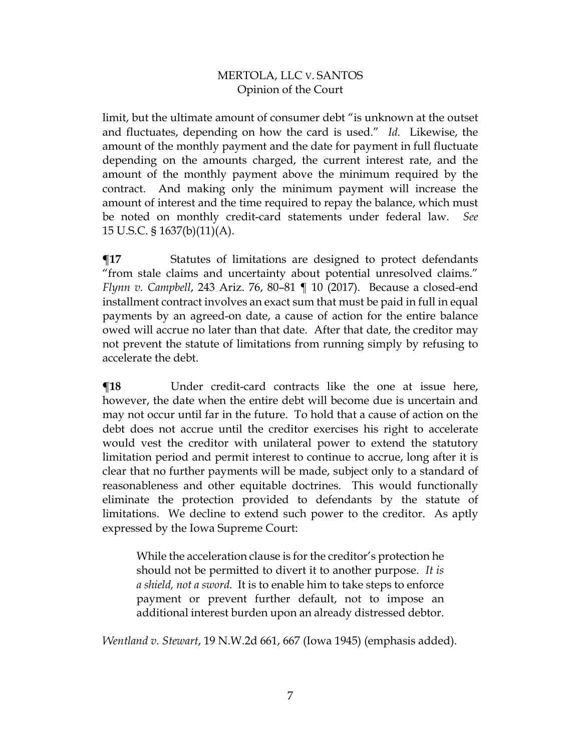limit, but the ultimate amount of consumer debt "is unknown at the outset and fluctuates, depending on how the card is used." *Id.* Likewise, the amount of the monthly payment and the date for payment in full fluctuate depending on the amounts charged, the current interest rate, and the amount of the monthly payment above the minimum required by the contract. And making only the minimum payment will increase the amount of interest and the time required to repay the balance, which must be noted on monthly credit-card statements under federal law. *See* 15 U.S.C. § 1637(b)(11)(A).

**¶17** Statutes of limitations are designed to protect defendants "from stale claims and uncertainty about potential unresolved claims." *Flynn v. Campbell*, 243 Ariz. 76, 80–81 ¶ 10 (2017). Because a closed-end installment contract involves an exact sum that must be paid in full in equal payments by an agreed-on date, a cause of action for the entire balance owed will accrue no later than that date. After that date, the creditor may not prevent the statute of limitations from running simply by refusing to accelerate the debt.

**¶18** Under credit-card contracts like the one at issue here, however, the date when the entire debt will become due is uncertain and may not occur until far in the future. To hold that a cause of action on the debt does not accrue until the creditor exercises his right to accelerate would vest the creditor with unilateral power to extend the statutory limitation period and permit interest to continue to accrue, long after it is clear that no further payments will be made, subject only to a standard of reasonableness and other equitable doctrines. This would functionally eliminate the protection provided to defendants by the statute of limitations. We decline to extend such power to the creditor. As aptly expressed by the Iowa Supreme Court:

While the acceleration clause is for the creditor's protection he should not be permitted to divert it to another purpose. *It is a shield, not a sword.* It is to enable him to take steps to enforce payment or prevent further default, not to impose an additional interest burden upon an already distressed debtor.

*Wentland v. Stewart*, 19 N.W.2d 661, 667 (Iowa 1945) (emphasis added).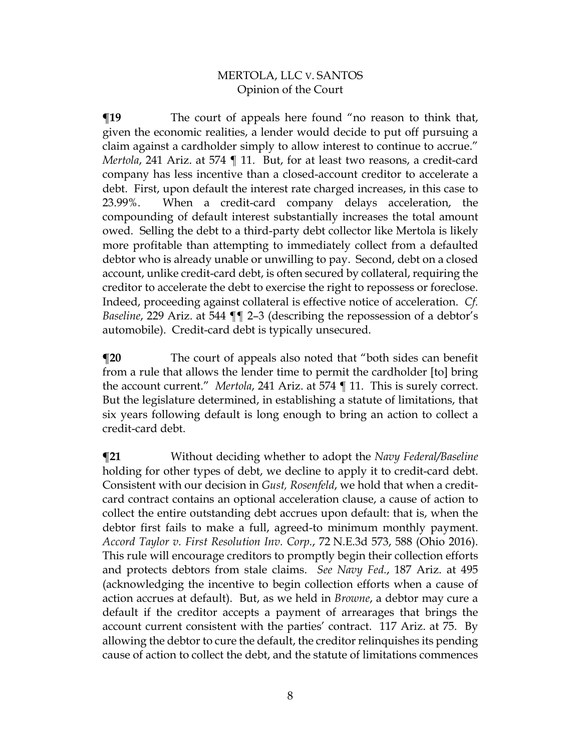**¶19** The court of appeals here found "no reason to think that, given the economic realities, a lender would decide to put off pursuing a claim against a cardholder simply to allow interest to continue to accrue." *Mertola*, 241 Ariz. at 574 ¶ 11. But, for at least two reasons, a credit-card company has less incentive than a closed-account creditor to accelerate a debt. First, upon default the interest rate charged increases, in this case to 23.99%. When a credit-card company delays acceleration, the compounding of default interest substantially increases the total amount owed. Selling the debt to a third-party debt collector like Mertola is likely more profitable than attempting to immediately collect from a defaulted debtor who is already unable or unwilling to pay. Second, debt on a closed account, unlike credit-card debt, is often secured by collateral, requiring the creditor to accelerate the debt to exercise the right to repossess or foreclose. Indeed, proceeding against collateral is effective notice of acceleration. *Cf. Baseline*, 229 Ariz. at 544 ¶¶ 2–3 (describing the repossession of a debtor's automobile). Credit-card debt is typically unsecured.

**¶20** The court of appeals also noted that "both sides can benefit from a rule that allows the lender time to permit the cardholder [to] bring the account current." *Mertola*, 241 Ariz. at 574 ¶ 11. This is surely correct. But the legislature determined, in establishing a statute of limitations, that six years following default is long enough to bring an action to collect a credit-card debt.

**¶21** Without deciding whether to adopt the *Navy Federal/Baseline*  holding for other types of debt, we decline to apply it to credit-card debt. Consistent with our decision in *Gust, Rosenfeld*, we hold that when a creditcard contract contains an optional acceleration clause, a cause of action to collect the entire outstanding debt accrues upon default: that is, when the debtor first fails to make a full, agreed-to minimum monthly payment. *Accord Taylor v. First Resolution Inv. Corp.*, 72 N.E.3d 573, 588 (Ohio 2016). This rule will encourage creditors to promptly begin their collection efforts and protects debtors from stale claims. *See Navy Fed.*, 187 Ariz. at 495 (acknowledging the incentive to begin collection efforts when a cause of action accrues at default). But, as we held in *Browne*, a debtor may cure a default if the creditor accepts a payment of arrearages that brings the account current consistent with the parties' contract. 117 Ariz. at 75. By allowing the debtor to cure the default, the creditor relinquishes its pending cause of action to collect the debt, and the statute of limitations commences